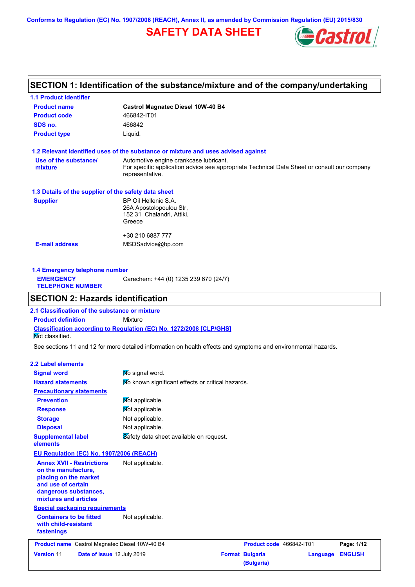**Conforms to Regulation (EC) No. 1907/2006 (REACH), Annex II, as amended by Commission Regulation (EU) 2015/830**

# **SAFETY DATA SHEET**



# **SECTION 1: Identification of the substance/mixture and of the company/undertaking**

| <b>1.1 Product identifier</b>                        |                                                                                                                                                          |
|------------------------------------------------------|----------------------------------------------------------------------------------------------------------------------------------------------------------|
| <b>Product name</b>                                  | <b>Castrol Magnatec Diesel 10W-40 B4</b>                                                                                                                 |
| <b>Product code</b>                                  | 466842-IT01                                                                                                                                              |
| SDS no.                                              | 466842                                                                                                                                                   |
| <b>Product type</b>                                  | Liquid.                                                                                                                                                  |
|                                                      | 1.2 Relevant identified uses of the substance or mixture and uses advised against                                                                        |
| Use of the substance/<br>mixture                     | Automotive engine crankcase lubricant.<br>For specific application advice see appropriate Technical Data Sheet or consult our company<br>representative. |
| 1.3 Details of the supplier of the safety data sheet |                                                                                                                                                          |
| <b>Supplier</b>                                      | BP Oil Hellenic S.A.<br>26A Apostolopoulou Str,<br>152 31 Chalandri, Attiki,<br>Greece                                                                   |
|                                                      | +30 210 6887 777                                                                                                                                         |
| <b>E-mail address</b>                                | MSDSadvice@bp.com                                                                                                                                        |
|                                                      |                                                                                                                                                          |

**1.4 Emergency telephone number EMERGENCY TELEPHONE NUMBER** Carechem: +44 (0) 1235 239 670 (24/7)

### **SECTION 2: Hazards identification**

**Classification according to Regulation (EC) No. 1272/2008 [CLP/GHS] 2.1 Classification of the substance or mixture Product definition** Mixture Not classified.

See sections 11 and 12 for more detailed information on health effects and symptoms and environmental hazards.

#### **2.2 Label elements**

| <b>Signal word</b>                                                                                                                                       | No signal word.                                   |                                      |          |                |
|----------------------------------------------------------------------------------------------------------------------------------------------------------|---------------------------------------------------|--------------------------------------|----------|----------------|
| <b>Hazard statements</b>                                                                                                                                 | Mo known significant effects or critical hazards. |                                      |          |                |
| <b>Precautionary statements</b>                                                                                                                          |                                                   |                                      |          |                |
| <b>Prevention</b>                                                                                                                                        | Not applicable.                                   |                                      |          |                |
| <b>Response</b>                                                                                                                                          | Mot applicable.                                   |                                      |          |                |
| <b>Storage</b>                                                                                                                                           | Not applicable.                                   |                                      |          |                |
| <b>Disposal</b>                                                                                                                                          | Not applicable.                                   |                                      |          |                |
| <b>Supplemental label</b><br>elements                                                                                                                    | Safety data sheet available on request.           |                                      |          |                |
| EU Regulation (EC) No. 1907/2006 (REACH)                                                                                                                 |                                                   |                                      |          |                |
| <b>Annex XVII - Restrictions</b><br>on the manufacture,<br>placing on the market<br>and use of certain<br>dangerous substances,<br>mixtures and articles | Not applicable.                                   |                                      |          |                |
| <b>Special packaging requirements</b>                                                                                                                    |                                                   |                                      |          |                |
| <b>Containers to be fitted</b><br>with child-resistant<br>fastenings                                                                                     | Not applicable.                                   |                                      |          |                |
| <b>Product name</b> Castrol Magnatec Diesel 10W-40 B4                                                                                                    |                                                   | Product code 466842-IT01             |          | Page: 1/12     |
| Date of issue 12 July 2019<br><b>Version 11</b>                                                                                                          |                                                   | <b>Format Bulgaria</b><br>(Bulgaria) | Language | <b>ENGLISH</b> |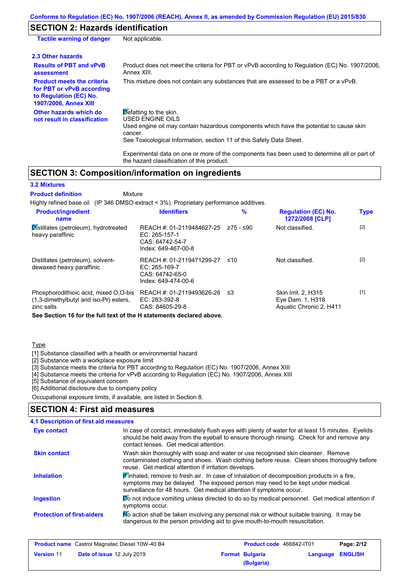# **SECTION 2: Hazards identification**

| <b>Tactile warning of danger</b>                                                                                         | Not applicable.                                                                                                                                                                                                          |
|--------------------------------------------------------------------------------------------------------------------------|--------------------------------------------------------------------------------------------------------------------------------------------------------------------------------------------------------------------------|
| 2.3 Other hazards                                                                                                        |                                                                                                                                                                                                                          |
| <b>Results of PBT and vPvB</b><br>assessment                                                                             | Product does not meet the criteria for PBT or vPvB according to Regulation (EC) No. 1907/2006,<br>Annex XIII.                                                                                                            |
| <b>Product meets the criteria</b><br>for PBT or vPvB according<br>to Regulation (EC) No.<br><b>1907/2006, Annex XIII</b> | This mixture does not contain any substances that are assessed to be a PBT or a vPvB.                                                                                                                                    |
| Other hazards which do<br>not result in classification                                                                   | Defatting to the skin.<br>USED ENGINE OILS<br>Used engine oil may contain hazardous components which have the potential to cause skin<br>cancer.<br>See Toxicological Information, section 11 of this Safety Data Sheet. |

Experimental data on one or more of the components has been used to determine all or part of the hazard classification of this product.

## **SECTION 3: Composition/information on ingredients**

Mixture

#### **3.2 Mixtures**

**Product definition**

Highly refined base oil (IP 346 DMSO extract < 3%). Proprietary performance additives.

| <b>Product/ingredient</b><br>name                                                                                                                                           | <b>Identifiers</b>                                                                     | $\frac{9}{6}$ | <b>Regulation (EC) No.</b><br>1272/2008 [CLP]                             | <b>Type</b> |
|-----------------------------------------------------------------------------------------------------------------------------------------------------------------------------|----------------------------------------------------------------------------------------|---------------|---------------------------------------------------------------------------|-------------|
| Distillates (petroleum), hydrotreated<br>heavy paraffinic                                                                                                                   | REACH #: 01-2119484627-25<br>$EC: 265-157-1$<br>CAS: 64742-54-7<br>Index: 649-467-00-8 | 275 - ≤90     | Not classified.                                                           | $[2]$       |
| Distillates (petroleum), solvent-<br>dewaxed heavy paraffinic                                                                                                               | REACH #: 01-2119471299-27<br>$EC: 265-169-7$<br>CAS: 64742-65-0<br>Index: 649-474-00-6 | ≤10           | Not classified.                                                           | $[2]$       |
| Phosphorodithioic acid, mixed O.O-bis<br>(1,3-dimethylbutyl and iso-Pr) esters,<br>zinc salts<br>Arra Arratori dA fondina full dont of the 11 ototroconteral closed alcoral | REACH #: 01-2119493626-26<br>$EC: 283-392-8$<br>CAS: 84605-29-8                        | ב≥            | <b>Skin Irrit. 2. H315</b><br>Eye Dam. 1, H318<br>Aquatic Chronic 2, H411 | $[1]$       |

**See Section 16 for the full text of the H statements declared above.**

#### **Type**

[1] Substance classified with a health or environmental hazard

[2] Substance with a workplace exposure limit

[3] Substance meets the criteria for PBT according to Regulation (EC) No. 1907/2006, Annex XIII

[4] Substance meets the criteria for vPvB according to Regulation (EC) No. 1907/2006, Annex XIII

[5] Substance of equivalent concern

[6] Additional disclosure due to company policy

Occupational exposure limits, if available, are listed in Section 8.

## **SECTION 4: First aid measures**

#### **4.1 Description of first aid measures**

| <b>Eye contact</b>                | In case of contact, immediately flush eyes with plenty of water for at least 15 minutes. Eyelids<br>should be held away from the eyeball to ensure thorough rinsing. Check for and remove any<br>contact lenses. Get medical attention.           |
|-----------------------------------|---------------------------------------------------------------------------------------------------------------------------------------------------------------------------------------------------------------------------------------------------|
| <b>Skin contact</b>               | Wash skin thoroughly with soap and water or use recognised skin cleanser. Remove<br>contaminated clothing and shoes. Wash clothing before reuse. Clean shoes thoroughly before<br>reuse. Get medical attention if irritation develops.            |
| <b>Inhalation</b>                 | Finhaled, remove to fresh air. In case of inhalation of decomposition products in a fire,<br>symptoms may be delayed. The exposed person may need to be kept under medical<br>surveillance for 48 hours. Get medical attention if symptoms occur. |
| <b>Ingestion</b>                  | <b>Do</b> not induce vomiting unless directed to do so by medical personnel. Get medical attention if<br>symptoms occur.                                                                                                                          |
| <b>Protection of first-aiders</b> | No action shall be taken involving any personal risk or without suitable training. It may be<br>dangerous to the person providing aid to give mouth-to-mouth resuscitation.                                                                       |

| <b>Product name</b> Castrol Magnatec Diesel 10W-40 B4 |                                   | Product code 466842-IT01 |                        | Page: 2/12              |  |
|-------------------------------------------------------|-----------------------------------|--------------------------|------------------------|-------------------------|--|
| <b>Version 11</b>                                     | <b>Date of issue 12 July 2019</b> |                          | <b>Format Bulgaria</b> | <b>Language ENGLISH</b> |  |
|                                                       |                                   |                          | (Bulgaria)             |                         |  |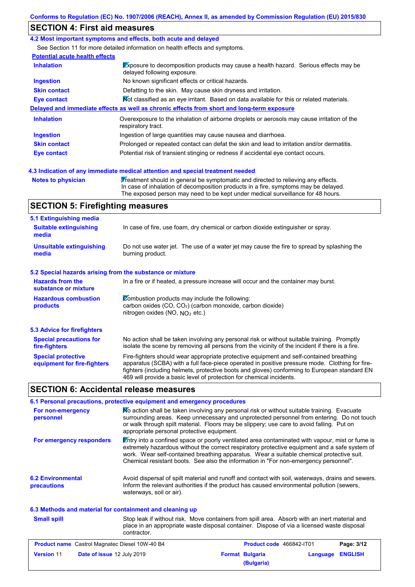### **SECTION 4: First aid measures**

#### **4.2 Most important symptoms and effects, both acute and delayed**

See Section 11 for more detailed information on health effects and symptoms.

| <b>Potential acute health effects</b> |                                                                                                                     |
|---------------------------------------|---------------------------------------------------------------------------------------------------------------------|
| <b>Inhalation</b>                     | Exposure to decomposition products may cause a health hazard. Serious effects may be<br>delayed following exposure. |
| <b>Ingestion</b>                      | No known significant effects or critical hazards.                                                                   |
| <b>Skin contact</b>                   | Defatting to the skin. May cause skin dryness and irritation.                                                       |
| Eye contact                           | Mot classified as an eye irritant. Based on data available for this or related materials.                           |
|                                       | Delayed and immediate effects as well as chronic effects from short and long-term exposure                          |
| <b>Inhalation</b>                     | Overexposure to the inhalation of airborne droplets or aerosols may cause irritation of the<br>respiratory tract.   |
| <b>Ingestion</b>                      | Ingestion of large quantities may cause nausea and diarrhoea.                                                       |
| <b>Skin contact</b>                   | Prolonged or repeated contact can defat the skin and lead to irritation and/or dermatitis.                          |
| Eye contact                           | Potential risk of transient stinging or redness if accidental eye contact occurs.                                   |
|                                       |                                                                                                                     |

#### **4.3 Indication of any immediate medical attention and special treatment needed**

**Notes to physician Treatment should in general be symptomatic and directed to relieving any effects.** In case of inhalation of decomposition products in a fire, symptoms may be delayed. The exposed person may need to be kept under medical surveillance for 48 hours.

# **SECTION 5: Firefighting measures**

| 5.1 Extinguishing media                                   |                                                                                                                                                                                                                                                                                                                                                                   |
|-----------------------------------------------------------|-------------------------------------------------------------------------------------------------------------------------------------------------------------------------------------------------------------------------------------------------------------------------------------------------------------------------------------------------------------------|
| <b>Suitable extinguishing</b><br>media                    | In case of fire, use foam, dry chemical or carbon dioxide extinguisher or spray.                                                                                                                                                                                                                                                                                  |
| <b>Unsuitable extinguishing</b><br>media                  | Do not use water jet. The use of a water jet may cause the fire to spread by splashing the<br>burning product.                                                                                                                                                                                                                                                    |
| 5.2 Special hazards arising from the substance or mixture |                                                                                                                                                                                                                                                                                                                                                                   |
| <b>Hazards from the</b><br>substance or mixture           | In a fire or if heated, a pressure increase will occur and the container may burst.                                                                                                                                                                                                                                                                               |
| <b>Hazardous combustion</b><br>products                   | Combustion products may include the following:<br>carbon oxides (CO, CO <sub>2</sub> ) (carbon monoxide, carbon dioxide)<br>nitrogen oxides (NO, $N_O$ , etc.)                                                                                                                                                                                                    |
| 5.3 Advice for firefighters                               |                                                                                                                                                                                                                                                                                                                                                                   |
| <b>Special precautions for</b><br>fire-fighters           | No action shall be taken involving any personal risk or without suitable training. Promptly<br>isolate the scene by removing all persons from the vicinity of the incident if there is a fire.                                                                                                                                                                    |
| <b>Special protective</b><br>equipment for fire-fighters  | Fire-fighters should wear appropriate protective equipment and self-contained breathing<br>apparatus (SCBA) with a full face-piece operated in positive pressure mode. Clothing for fire-<br>fighters (including helmets, protective boots and gloves) conforming to European standard EN<br>469 will provide a basic level of protection for chemical incidents. |

# **SECTION 6: Accidental release measures**

|                                                                                                                               | 6.1 Personal precautions, protective equipment and emergency procedures                                                                                                                                                                                                                                                                                                              |  |  |
|-------------------------------------------------------------------------------------------------------------------------------|--------------------------------------------------------------------------------------------------------------------------------------------------------------------------------------------------------------------------------------------------------------------------------------------------------------------------------------------------------------------------------------|--|--|
| For non-emergency<br>personnel                                                                                                | No action shall be taken involving any personal risk or without suitable training. Evacuate<br>surrounding areas. Keep unnecessary and unprotected personnel from entering. Do not touch<br>or walk through spilt material. Floors may be slippery; use care to avoid falling. Put on<br>appropriate personal protective equipment.                                                  |  |  |
| For emergency responders                                                                                                      | Entry into a confined space or poorly ventilated area contaminated with vapour, mist or fume is<br>extremely hazardous without the correct respiratory protective equipment and a safe system of<br>work. Wear self-contained breathing apparatus. Wear a suitable chemical protective suit.<br>Chemical resistant boots. See also the information in "For non-emergency personnel". |  |  |
| <b>6.2 Environmental</b><br>precautions                                                                                       | Avoid dispersal of spilt material and runoff and contact with soil, waterways, drains and sewers.<br>Inform the relevant authorities if the product has caused environmental pollution (sewers,<br>waterways, soil or air).                                                                                                                                                          |  |  |
| 6.3 Methods and material for containment and cleaning up                                                                      |                                                                                                                                                                                                                                                                                                                                                                                      |  |  |
| <b>Small spill</b>                                                                                                            | Stop leak if without risk. Move containers from spill area. Absorb with an inert material and<br>place in an appropriate waste disposal container. Dispose of via a licensed waste disposal<br>contractor.                                                                                                                                                                           |  |  |
| $B_{\text{max}}$ denotes $A_{\text{max}}$ and $A_{\text{max}}$ and $B_{\text{max}}$ and $B_{\text{max}}$ and $B_{\text{max}}$ | $B_{\text{max}}$ $A_{\text{max}}$ $A_{\text{max}}$ $A_{\text{max}}$ $A_{\text{max}}$<br><b>B.L.</b> 6146                                                                                                                                                                                                                                                                             |  |  |

| <b>Product name</b> Castrol Magnatec Diesel 10W-40 B4 |                                   | Product code 466842-IT01 |                        | Page: 3/12       |  |
|-------------------------------------------------------|-----------------------------------|--------------------------|------------------------|------------------|--|
| <b>Version 11</b>                                     | <b>Date of issue 12 July 2019</b> |                          | <b>Format Bulgaria</b> | Language ENGLISH |  |
|                                                       |                                   |                          | (Bulgaria)             |                  |  |
|                                                       |                                   |                          |                        |                  |  |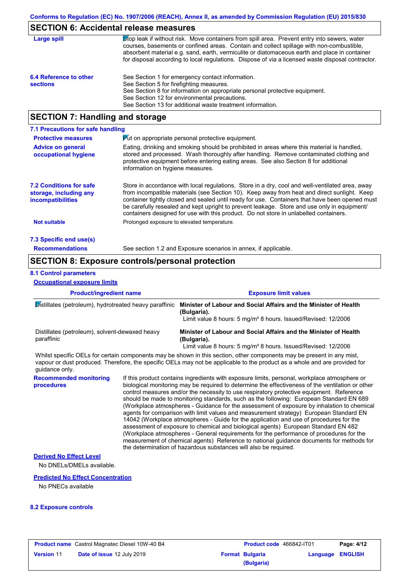# **SECTION 6: Accidental release measures**

| Large spill                               | Stop leak if without risk. Move containers from spill area. Prevent entry into sewers, water<br>courses, basements or confined areas. Contain and collect spillage with non-combustible,<br>absorbent material e.g. sand, earth, vermiculite or diatomaceous earth and place in container<br>for disposal according to local regulations. Dispose of via a licensed waste disposal contractor. |
|-------------------------------------------|------------------------------------------------------------------------------------------------------------------------------------------------------------------------------------------------------------------------------------------------------------------------------------------------------------------------------------------------------------------------------------------------|
| 6.4 Reference to other<br><b>sections</b> | See Section 1 for emergency contact information.<br>See Section 5 for firefighting measures.<br>See Section 8 for information on appropriate personal protective equipment.<br>See Section 12 for environmental precautions.<br>See Section 13 for additional waste treatment information.                                                                                                     |

# **SECTION 7: Handling and storage**

| 7.1 Precautions for safe handling                                                    |                                                                                                                                                                                                                                                                                                                                                                                                                                                                                          |
|--------------------------------------------------------------------------------------|------------------------------------------------------------------------------------------------------------------------------------------------------------------------------------------------------------------------------------------------------------------------------------------------------------------------------------------------------------------------------------------------------------------------------------------------------------------------------------------|
| <b>Protective measures</b>                                                           | <b>Put on appropriate personal protective equipment.</b>                                                                                                                                                                                                                                                                                                                                                                                                                                 |
| <b>Advice on general</b><br>occupational hygiene                                     | Eating, drinking and smoking should be prohibited in areas where this material is handled.<br>stored and processed. Wash thoroughly after handling. Remove contaminated clothing and<br>protective equipment before entering eating areas. See also Section 8 for additional<br>information on hygiene measures.                                                                                                                                                                         |
| <b>7.2 Conditions for safe</b><br>storage, including any<br><i>incompatibilities</i> | Store in accordance with local regulations. Store in a dry, cool and well-ventilated area, away<br>from incompatible materials (see Section 10). Keep away from heat and direct sunlight. Keep<br>container tightly closed and sealed until ready for use. Containers that have been opened must<br>be carefully resealed and kept upright to prevent leakage. Store and use only in equipment/<br>containers designed for use with this product. Do not store in unlabelled containers. |
| <b>Not suitable</b>                                                                  | Prolonged exposure to elevated temperature.                                                                                                                                                                                                                                                                                                                                                                                                                                              |
| 7.3 Specific end use(s)                                                              |                                                                                                                                                                                                                                                                                                                                                                                                                                                                                          |
| <b>Recommendations</b>                                                               | See section 1.2 and Exposure scenarios in annex, if applicable.                                                                                                                                                                                                                                                                                                                                                                                                                          |

# **SECTION 8: Exposure controls/personal protection**

#### **8.1 Control parameters**

**Occupational exposure limits**

| <b>Product/ingredient name</b><br>Distillates (petroleum), hydrotreated heavy paraffinic |  | <b>Exposure limit values</b>                                                                                                                                                                                                                                                                                                                                                                                                                                                                                                                                                                                                                                                                                                                                                                                                                                                                                                                                                                                               |  |
|------------------------------------------------------------------------------------------|--|----------------------------------------------------------------------------------------------------------------------------------------------------------------------------------------------------------------------------------------------------------------------------------------------------------------------------------------------------------------------------------------------------------------------------------------------------------------------------------------------------------------------------------------------------------------------------------------------------------------------------------------------------------------------------------------------------------------------------------------------------------------------------------------------------------------------------------------------------------------------------------------------------------------------------------------------------------------------------------------------------------------------------|--|
|                                                                                          |  | Minister of Labour and Social Affairs and the Minister of Health<br>(Bulgaria).<br>Limit value 8 hours: 5 mg/m <sup>3</sup> 8 hours. Issued/Revised: 12/2006                                                                                                                                                                                                                                                                                                                                                                                                                                                                                                                                                                                                                                                                                                                                                                                                                                                               |  |
| Distillates (petroleum), solvent-dewaxed heavy<br>paraffinic                             |  | Minister of Labour and Social Affairs and the Minister of Health<br>(Bulgaria).<br>Limit value 8 hours: 5 mg/m <sup>3</sup> 8 hours. Issued/Revised: 12/2006                                                                                                                                                                                                                                                                                                                                                                                                                                                                                                                                                                                                                                                                                                                                                                                                                                                               |  |
| guidance only.                                                                           |  | Whilst specific OELs for certain components may be shown in this section, other components may be present in any mist,<br>vapour or dust produced. Therefore, the specific OELs may not be applicable to the product as a whole and are provided for                                                                                                                                                                                                                                                                                                                                                                                                                                                                                                                                                                                                                                                                                                                                                                       |  |
| <b>Recommended monitoring</b><br>procedures                                              |  | If this product contains ingredients with exposure limits, personal, workplace atmosphere or<br>biological monitoring may be required to determine the effectiveness of the ventilation or other<br>control measures and/or the necessity to use respiratory protective equipment. Reference<br>should be made to monitoring standards, such as the following: European Standard EN 689<br>(Workplace atmospheres - Guidance for the assessment of exposure by inhalation to chemical<br>agents for comparison with limit values and measurement strategy) European Standard EN<br>14042 (Workplace atmospheres - Guide for the application and use of procedures for the<br>assessment of exposure to chemical and biological agents) European Standard EN 482<br>(Workplace atmospheres - General requirements for the performance of procedures for the<br>measurement of chemical agents) Reference to national guidance documents for methods for<br>the determination of hazardous substances will also be required. |  |
| <b>Derived No Effect Level</b><br>No DNELs/DMELs available.                              |  |                                                                                                                                                                                                                                                                                                                                                                                                                                                                                                                                                                                                                                                                                                                                                                                                                                                                                                                                                                                                                            |  |
| <b>Predicted No Effect Concentration</b><br>No PNECs available                           |  |                                                                                                                                                                                                                                                                                                                                                                                                                                                                                                                                                                                                                                                                                                                                                                                                                                                                                                                                                                                                                            |  |

#### **8.2 Exposure controls**

| <b>Product name</b> Castrol Magnatec Diesel 10W-40 B4 |                                   | <b>Product code</b> 466842-IT01 |                                      | Page: 4/12              |  |
|-------------------------------------------------------|-----------------------------------|---------------------------------|--------------------------------------|-------------------------|--|
| <b>Version 11</b>                                     | <b>Date of issue 12 July 2019</b> |                                 | <b>Format Bulgaria</b><br>(Bulgaria) | <b>Language ENGLISH</b> |  |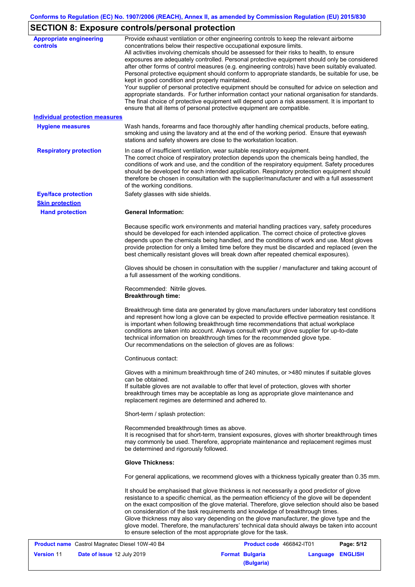# **SECTION 8: Exposure controls/personal protection**

| <b>Appropriate engineering</b> | Provide exhaust ventilation or other engineering controls to keep the relevant airborne                                                                                                         |
|--------------------------------|-------------------------------------------------------------------------------------------------------------------------------------------------------------------------------------------------|
| controls                       | concentrations below their respective occupational exposure limits.                                                                                                                             |
|                                | All activities involving chemicals should be assessed for their risks to health, to ensure                                                                                                      |
|                                | exposures are adequately controlled. Personal protective equipment should only be considered<br>after other forms of control measures (e.g. engineering controls) have been suitably evaluated. |
|                                | Personal protective equipment should conform to appropriate standards, be suitable for use, be                                                                                                  |
|                                | kept in good condition and properly maintained.                                                                                                                                                 |
|                                | Your supplier of personal protective equipment should be consulted for advice on selection and                                                                                                  |
|                                | appropriate standards. For further information contact your national organisation for standards.                                                                                                |
|                                | The final choice of protective equipment will depend upon a risk assessment. It is important to                                                                                                 |
|                                | ensure that all items of personal protective equipment are compatible.                                                                                                                          |
| Individual protection measures |                                                                                                                                                                                                 |
| <b>Hygiene measures</b>        | Wash hands, forearms and face thoroughly after handling chemical products, before eating,                                                                                                       |
|                                | smoking and using the lavatory and at the end of the working period. Ensure that eyewash                                                                                                        |
|                                | stations and safety showers are close to the workstation location.                                                                                                                              |
| <b>Respiratory protection</b>  | In case of insufficient ventilation, wear suitable respiratory equipment.                                                                                                                       |
|                                | The correct choice of respiratory protection depends upon the chemicals being handled, the                                                                                                      |
|                                | conditions of work and use, and the condition of the respiratory equipment. Safety procedures                                                                                                   |
|                                | should be developed for each intended application. Respiratory protection equipment should                                                                                                      |
|                                | therefore be chosen in consultation with the supplier/manufacturer and with a full assessment                                                                                                   |
|                                | of the working conditions.                                                                                                                                                                      |
| <b>Eye/face protection</b>     | Safety glasses with side shields.                                                                                                                                                               |
| <b>Skin protection</b>         |                                                                                                                                                                                                 |
| <b>Hand protection</b>         | <b>General Information:</b>                                                                                                                                                                     |
|                                | Because specific work environments and material handling practices vary, safety procedures                                                                                                      |
|                                | should be developed for each intended application. The correct choice of protective gloves                                                                                                      |
|                                | depends upon the chemicals being handled, and the conditions of work and use. Most gloves                                                                                                       |
|                                | provide protection for only a limited time before they must be discarded and replaced (even the                                                                                                 |
|                                | best chemically resistant gloves will break down after repeated chemical exposures).                                                                                                            |
|                                |                                                                                                                                                                                                 |
|                                | Gloves should be chosen in consultation with the supplier / manufacturer and taking account of                                                                                                  |
|                                | a full assessment of the working conditions.                                                                                                                                                    |
|                                | Recommended: Nitrile gloves.                                                                                                                                                                    |
|                                | <b>Breakthrough time:</b>                                                                                                                                                                       |
|                                |                                                                                                                                                                                                 |
|                                | Breakthrough time data are generated by glove manufacturers under laboratory test conditions                                                                                                    |
|                                | and represent how long a glove can be expected to provide effective permeation resistance. It<br>is important when following breakthrough time recommendations that actual workplace            |
|                                | conditions are taken into account. Always consult with your glove supplier for up-to-date                                                                                                       |
|                                | technical information on breakthrough times for the recommended glove type.                                                                                                                     |
|                                | Our recommendations on the selection of gloves are as follows:                                                                                                                                  |
|                                |                                                                                                                                                                                                 |
|                                | Continuous contact:                                                                                                                                                                             |
|                                | Gloves with a minimum breakthrough time of 240 minutes, or >480 minutes if suitable gloves                                                                                                      |
|                                | can be obtained.                                                                                                                                                                                |
|                                | If suitable gloves are not available to offer that level of protection, gloves with shorter                                                                                                     |
|                                | breakthrough times may be acceptable as long as appropriate glove maintenance and                                                                                                               |
|                                | replacement regimes are determined and adhered to.                                                                                                                                              |
|                                | Short-term / splash protection:                                                                                                                                                                 |
|                                | Recommended breakthrough times as above.                                                                                                                                                        |
|                                | It is recognised that for short-term, transient exposures, gloves with shorter breakthrough times                                                                                               |
|                                | may commonly be used. Therefore, appropriate maintenance and replacement regimes must                                                                                                           |
|                                | be determined and rigorously followed.                                                                                                                                                          |
|                                | <b>Glove Thickness:</b>                                                                                                                                                                         |
|                                | For general applications, we recommend gloves with a thickness typically greater than 0.35 mm.                                                                                                  |
|                                | It should be emphasised that glove thickness is not necessarily a good predictor of glove                                                                                                       |
|                                | resistance to a specific chemical, as the permeation efficiency of the glove will be dependent                                                                                                  |
|                                | on the exact composition of the glove material. Therefore, glove selection should also be based                                                                                                 |
|                                | on consideration of the task requirements and knowledge of breakthrough times.                                                                                                                  |
|                                | Glove thickness may also vary depending on the glove manufacturer, the glove type and the                                                                                                       |
|                                | glove model. Therefore, the manufacturers' technical data should always be taken into account                                                                                                   |
|                                | to ensure selection of the most appropriate glove for the task.                                                                                                                                 |
|                                |                                                                                                                                                                                                 |

| <b>Product name</b> Castrol Magnatec Diesel 10W-40 B4 |                                   | <b>Product code</b> 466842-IT01 |                        | Page: 5/12              |  |
|-------------------------------------------------------|-----------------------------------|---------------------------------|------------------------|-------------------------|--|
| <b>Version 11</b>                                     | <b>Date of issue 12 July 2019</b> |                                 | <b>Format Bulgaria</b> | <b>Language ENGLISH</b> |  |
|                                                       |                                   |                                 | (Bulgaria)             |                         |  |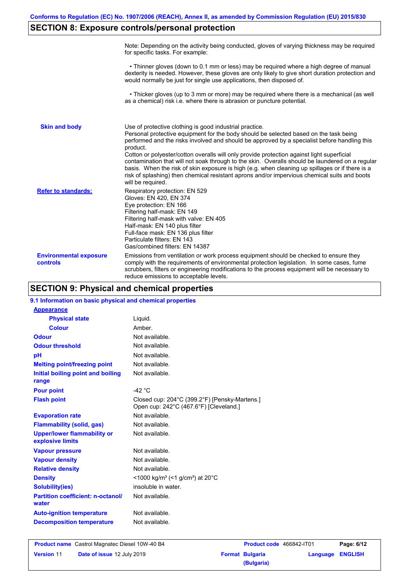# **SECTION 8: Exposure controls/personal protection**

|                                           | Note: Depending on the activity being conducted, gloves of varying thickness may be required<br>for specific tasks. For example:                                                                                                                                                                                                                                                                                                                                                                                                                                                                                                                                                      |
|-------------------------------------------|---------------------------------------------------------------------------------------------------------------------------------------------------------------------------------------------------------------------------------------------------------------------------------------------------------------------------------------------------------------------------------------------------------------------------------------------------------------------------------------------------------------------------------------------------------------------------------------------------------------------------------------------------------------------------------------|
|                                           | • Thinner gloves (down to 0.1 mm or less) may be required where a high degree of manual<br>dexterity is needed. However, these gloves are only likely to give short duration protection and<br>would normally be just for single use applications, then disposed of.                                                                                                                                                                                                                                                                                                                                                                                                                  |
|                                           | • Thicker gloves (up to 3 mm or more) may be required where there is a mechanical (as well<br>as a chemical) risk i.e. where there is abrasion or puncture potential.                                                                                                                                                                                                                                                                                                                                                                                                                                                                                                                 |
| <b>Skin and body</b>                      | Use of protective clothing is good industrial practice.<br>Personal protective equipment for the body should be selected based on the task being<br>performed and the risks involved and should be approved by a specialist before handling this<br>product.<br>Cotton or polyester/cotton overalls will only provide protection against light superficial<br>contamination that will not soak through to the skin. Overalls should be laundered on a regular<br>basis. When the risk of skin exposure is high (e.g. when cleaning up spillages or if there is a<br>risk of splashing) then chemical resistant aprons and/or impervious chemical suits and boots<br>will be required. |
| <b>Refer to standards:</b>                | Respiratory protection: EN 529<br>Gloves: EN 420, EN 374<br>Eye protection: EN 166<br>Filtering half-mask: EN 149<br>Filtering half-mask with valve: EN 405<br>Half-mask: EN 140 plus filter<br>Full-face mask: EN 136 plus filter<br>Particulate filters: EN 143<br>Gas/combined filters: EN 14387                                                                                                                                                                                                                                                                                                                                                                                   |
| <b>Environmental exposure</b><br>controls | Emissions from ventilation or work process equipment should be checked to ensure they<br>comply with the requirements of environmental protection legislation. In some cases, fume<br>scrubbers, filters or engineering modifications to the process equipment will be necessary to<br>reduce emissions to acceptable levels.                                                                                                                                                                                                                                                                                                                                                         |

# **SECTION 9: Physical and chemical properties**

| 9.1 Information on basic physical and chemical properties |                                                                                         |
|-----------------------------------------------------------|-----------------------------------------------------------------------------------------|
| <b>Appearance</b>                                         |                                                                                         |
| <b>Physical state</b>                                     | Liquid.                                                                                 |
| <b>Colour</b>                                             | Amber.                                                                                  |
| <b>Odour</b>                                              | Not available.                                                                          |
| <b>Odour threshold</b>                                    | Not available.                                                                          |
| pH                                                        | Not available.                                                                          |
| <b>Melting point/freezing point</b>                       | Not available.                                                                          |
| Initial boiling point and boiling<br>range                | Not available.                                                                          |
| <b>Pour point</b>                                         | -42 $^{\circ}$ C                                                                        |
| <b>Flash point</b>                                        | Closed cup: 204°C (399.2°F) [Pensky-Martens.]<br>Open cup: 242°C (467.6°F) [Cleveland.] |
| <b>Evaporation rate</b>                                   | Not available.                                                                          |
| <b>Flammability (solid, gas)</b>                          | Not available.                                                                          |
| <b>Upper/lower flammability or</b><br>explosive limits    | Not available.                                                                          |
| <b>Vapour pressure</b>                                    | Not available.                                                                          |
| <b>Vapour density</b>                                     | Not available.                                                                          |
| <b>Relative density</b>                                   | Not available.                                                                          |
| <b>Density</b>                                            | <1000 kg/m <sup>3</sup> (<1 g/cm <sup>3</sup> ) at 20 <sup>°</sup> C                    |
| <b>Solubility(ies)</b>                                    | insoluble in water.                                                                     |
| <b>Partition coefficient: n-octanol/</b><br>water         | Not available.                                                                          |
| <b>Auto-ignition temperature</b>                          | Not available.                                                                          |
| <b>Decomposition temperature</b>                          | Not available.                                                                          |
|                                                           |                                                                                         |

| <b>Product name</b> Castrol Magnatec Diesel 10W-40 B4 |                                   | <b>Product code</b> 466842-IT01 |                        | Page: 6/12       |  |
|-------------------------------------------------------|-----------------------------------|---------------------------------|------------------------|------------------|--|
| <b>Version 11</b>                                     | <b>Date of issue 12 July 2019</b> |                                 | <b>Format Bulgaria</b> | Language ENGLISH |  |
|                                                       |                                   |                                 | (Bulgaria)             |                  |  |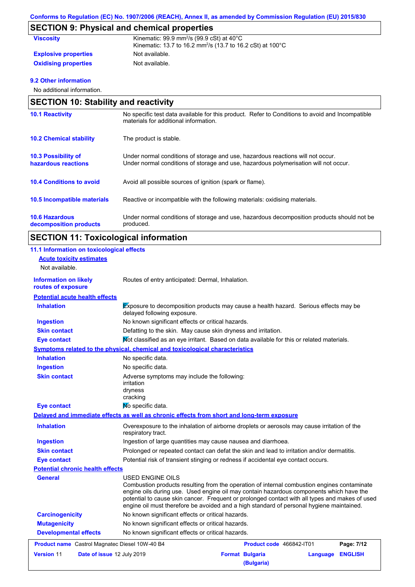# **SECTION 9: Physical and chemical properties**

| <b>Viscosity</b>            | Kinematic: $99.9$ mm <sup>2</sup> /s ( $99.9$ cSt) at $40^{\circ}$ C<br>Kinematic: 13.7 to 16.2 mm <sup>2</sup> /s (13.7 to 16.2 cSt) at 100°C |
|-----------------------------|------------------------------------------------------------------------------------------------------------------------------------------------|
| <b>Explosive properties</b> | Not available.                                                                                                                                 |
| <b>Oxidising properties</b> | Not available.                                                                                                                                 |

#### **9.2 Other information**

No additional information.

| <b>SECTION 10: Stability and reactivity</b>       |                                                                                                                                                                         |  |
|---------------------------------------------------|-------------------------------------------------------------------------------------------------------------------------------------------------------------------------|--|
| <b>10.1 Reactivity</b>                            | No specific test data available for this product. Refer to Conditions to avoid and Incompatible<br>materials for additional information.                                |  |
| <b>10.2 Chemical stability</b>                    | The product is stable.                                                                                                                                                  |  |
| <b>10.3 Possibility of</b><br>hazardous reactions | Under normal conditions of storage and use, hazardous reactions will not occur.<br>Under normal conditions of storage and use, hazardous polymerisation will not occur. |  |
| <b>10.4 Conditions to avoid</b>                   | Avoid all possible sources of ignition (spark or flame).                                                                                                                |  |
| 10.5 Incompatible materials                       | Reactive or incompatible with the following materials: oxidising materials.                                                                                             |  |
| <b>10.6 Hazardous</b><br>decomposition products   | Under normal conditions of storage and use, hazardous decomposition products should not be<br>produced.                                                                 |  |

# **SECTION 11: Toxicological information**

| 11.1 Information on toxicological effects             |                                                                                                                                                                                                                                                                                                                                                                                                          |
|-------------------------------------------------------|----------------------------------------------------------------------------------------------------------------------------------------------------------------------------------------------------------------------------------------------------------------------------------------------------------------------------------------------------------------------------------------------------------|
| <b>Acute toxicity estimates</b>                       |                                                                                                                                                                                                                                                                                                                                                                                                          |
| Not available.                                        |                                                                                                                                                                                                                                                                                                                                                                                                          |
| <b>Information on likely</b><br>routes of exposure    | Routes of entry anticipated: Dermal, Inhalation.                                                                                                                                                                                                                                                                                                                                                         |
| <b>Potential acute health effects</b>                 |                                                                                                                                                                                                                                                                                                                                                                                                          |
| <b>Inhalation</b>                                     | <b>Exposure to decomposition products may cause a health hazard.</b> Serious effects may be<br>delayed following exposure.                                                                                                                                                                                                                                                                               |
| <b>Ingestion</b>                                      | No known significant effects or critical hazards.                                                                                                                                                                                                                                                                                                                                                        |
| <b>Skin contact</b>                                   | Defatting to the skin. May cause skin dryness and irritation.                                                                                                                                                                                                                                                                                                                                            |
| Eye contact                                           | Mot classified as an eye irritant. Based on data available for this or related materials.                                                                                                                                                                                                                                                                                                                |
|                                                       | Symptoms related to the physical, chemical and toxicological characteristics                                                                                                                                                                                                                                                                                                                             |
| <b>Inhalation</b>                                     | No specific data.                                                                                                                                                                                                                                                                                                                                                                                        |
| <b>Ingestion</b>                                      | No specific data.                                                                                                                                                                                                                                                                                                                                                                                        |
| <b>Skin contact</b>                                   | Adverse symptoms may include the following:<br>irritation<br>dryness<br>cracking                                                                                                                                                                                                                                                                                                                         |
| <b>Eye contact</b>                                    | No specific data.                                                                                                                                                                                                                                                                                                                                                                                        |
|                                                       | Delayed and immediate effects as well as chronic effects from short and long-term exposure                                                                                                                                                                                                                                                                                                               |
| <b>Inhalation</b>                                     | Overexposure to the inhalation of airborne droplets or aerosols may cause irritation of the<br>respiratory tract.                                                                                                                                                                                                                                                                                        |
| <b>Ingestion</b>                                      | Ingestion of large quantities may cause nausea and diarrhoea.                                                                                                                                                                                                                                                                                                                                            |
| <b>Skin contact</b>                                   | Prolonged or repeated contact can defat the skin and lead to irritation and/or dermatitis.                                                                                                                                                                                                                                                                                                               |
| <b>Eye contact</b>                                    | Potential risk of transient stinging or redness if accidental eye contact occurs.                                                                                                                                                                                                                                                                                                                        |
| <b>Potential chronic health effects</b>               |                                                                                                                                                                                                                                                                                                                                                                                                          |
| <b>General</b>                                        | USED ENGINE OILS<br>Combustion products resulting from the operation of internal combustion engines contaminate<br>engine oils during use. Used engine oil may contain hazardous components which have the<br>potential to cause skin cancer. Frequent or prolonged contact with all types and makes of used<br>engine oil must therefore be avoided and a high standard of personal hygiene maintained. |
| <b>Carcinogenicity</b>                                | No known significant effects or critical hazards.                                                                                                                                                                                                                                                                                                                                                        |
| <b>Mutagenicity</b>                                   | No known significant effects or critical hazards.                                                                                                                                                                                                                                                                                                                                                        |
| <b>Developmental effects</b>                          | No known significant effects or critical hazards.                                                                                                                                                                                                                                                                                                                                                        |
| <b>Product name</b> Castrol Magnatec Diesel 10W-40 B4 | Page: 7/12<br><b>Product code</b> 466842-IT01                                                                                                                                                                                                                                                                                                                                                            |
| Version 11<br>Date of issue 12 July 2019              | <b>Format Bulgaria</b><br><b>ENGLISH</b><br>Language<br>(Bulgaria)                                                                                                                                                                                                                                                                                                                                       |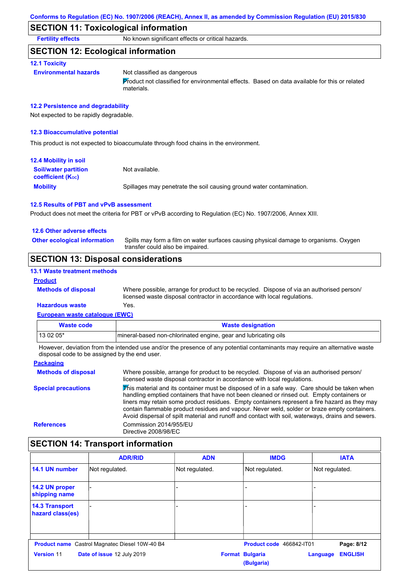#### **SECTION 11: Toxicological information**

**Fertility effects** No known significant effects or critical hazards.

#### **SECTION 12: Ecological information**

#### **12.1 Toxicity**

**Environmental hazards** Not classified as dangerous

Product not classified for environmental effects. Based on data available for this or related materials.

#### **12.2 Persistence and degradability**

Not expected to be rapidly degradable.

#### **12.3 Bioaccumulative potential**

This product is not expected to bioaccumulate through food chains in the environment.

| <b>12.4 Mobility in soil</b>                                  |                                                                      |
|---------------------------------------------------------------|----------------------------------------------------------------------|
| <b>Soil/water partition</b><br>coefficient (K <sub>oc</sub> ) | Not available.                                                       |
| <b>Mobility</b>                                               | Spillages may penetrate the soil causing ground water contamination. |

#### **12.5 Results of PBT and vPvB assessment**

Product does not meet the criteria for PBT or vPvB according to Regulation (EC) No. 1907/2006, Annex XIII.

#### **12.6 Other adverse effects**

**Other ecological information**

Spills may form a film on water surfaces causing physical damage to organisms. Oxygen transfer could also be impaired.

### **SECTION 13: Disposal considerations**

#### **13.1 Waste treatment methods**

#### **Product**

Where possible, arrange for product to be recycled. Dispose of via an authorised person/ licensed waste disposal contractor in accordance with local regulations.

### **Hazardous waste** Yes.

**Methods of disposal**

| European waste catalogue (EWC) |                                                                  |  |
|--------------------------------|------------------------------------------------------------------|--|
| Waste code                     | <b>Waste designation</b>                                         |  |
| $130205*$                      | Imineral-based non-chlorinated engine, gear and lubricating oils |  |

However, deviation from the intended use and/or the presence of any potential contaminants may require an alternative waste disposal code to be assigned by the end user.

#### **Packaging Methods of disposal Special precautions** Where possible, arrange for product to be recycled. Dispose of via an authorised person/ licensed waste disposal contractor in accordance with local regulations.  $\overline{\mathbf{F}}$ his material and its container must be disposed of in a safe way. Care should be taken when handling emptied containers that have not been cleaned or rinsed out. Empty containers or liners may retain some product residues. Empty containers represent a fire hazard as they may contain flammable product residues and vapour. Never weld, solder or braze empty containers. Avoid dispersal of spilt material and runoff and contact with soil, waterways, drains and sewers. **References** Commission 2014/955/EU Directive 2008/98/EC

#### **SECTION 14: Transport information**

|                                           | <b>ADR/RID</b>                                        | <b>ADN</b>     | <b>IMDG</b>                          | <b>IATA</b>                |
|-------------------------------------------|-------------------------------------------------------|----------------|--------------------------------------|----------------------------|
| 14.1 UN number                            | Not regulated.                                        | Not regulated. | Not regulated.                       | Not regulated.             |
| 14.2 UN proper<br>shipping name           |                                                       |                |                                      |                            |
| <b>14.3 Transport</b><br>hazard class(es) |                                                       |                |                                      |                            |
|                                           | <b>Product name</b> Castrol Magnatec Diesel 10W-40 B4 |                | Product code 466842-IT01             | Page: 8/12                 |
| <b>Version 11</b>                         | Date of issue 12 July 2019                            |                | <b>Format Bulgaria</b><br>(Bulgaria) | <b>ENGLISH</b><br>Language |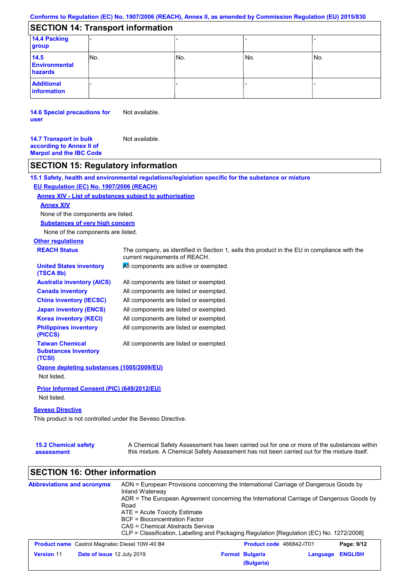# **SECTION 14: Transport information**

| 14.4 Packing<br>group                   |      |     |       |     |
|-----------------------------------------|------|-----|-------|-----|
| 14.5<br><b>Environmental</b><br>hazards | INo. | No. | l No. | No. |
| <b>Additional</b><br>information        |      |     |       |     |

**14.6 Special precautions for user** Not available.

**14.7 Transport in bulk according to Annex II of Marpol and the IBC Code** Not available.

# **SECTION 15: Regulatory information**

**15.1 Safety, health and environmental regulations/legislation specific for the substance or mixture**

#### **EU Regulation (EC) No. 1907/2006 (REACH)**

#### **Annex XIV - List of substances subject to authorisation**

#### **Annex XIV**

None of the components are listed.

**Substances of very high concern**

None of the components are listed.

# **Other regulations**

| <b>REACH Status</b>                                             | The company, as identified in Section 1, sells this product in the EU in compliance with the<br>current requirements of REACH. |
|-----------------------------------------------------------------|--------------------------------------------------------------------------------------------------------------------------------|
| <b>United States inventory</b><br>(TSCA 8b)                     | All components are active or exempted.                                                                                         |
| <b>Australia inventory (AICS)</b>                               | All components are listed or exempted.                                                                                         |
| <b>Canada inventory</b>                                         | All components are listed or exempted.                                                                                         |
| <b>China inventory (IECSC)</b>                                  | All components are listed or exempted.                                                                                         |
| <b>Japan inventory (ENCS)</b>                                   | All components are listed or exempted.                                                                                         |
| <b>Korea inventory (KECI)</b>                                   | All components are listed or exempted.                                                                                         |
| <b>Philippines inventory</b><br>(PICCS)                         | All components are listed or exempted.                                                                                         |
| <b>Taiwan Chemical</b><br><b>Substances Inventory</b><br>(TCSI) | All components are listed or exempted.                                                                                         |
| Ozone depleting substances (1005/2009/EU)                       |                                                                                                                                |
| Not listed.                                                     |                                                                                                                                |
| Prior Informed Consent (PIC) (649/2012/EU)                      |                                                                                                                                |
| Not listed.                                                     |                                                                                                                                |

#### **Seveso Directive**

This product is not controlled under the Seveso Directive.

| <b>15.2 Chemical safety</b> | A Chemical Safety Assessment has been carried out for one or more of the substances within  |
|-----------------------------|---------------------------------------------------------------------------------------------|
| assessment                  | this mixture. A Chemical Safety Assessment has not been carried out for the mixture itself. |

# **SECTION 16: Other information**

| <b>Abbreviations and acronyms</b>                     | ADN = European Provisions concerning the International Carriage of Dangerous Goods by<br>Inland Waterway<br>ADR = The European Agreement concerning the International Carriage of Dangerous Goods by<br>Road<br>ATE = Acute Toxicity Estimate<br>BCF = Bioconcentration Factor<br>CAS = Chemical Abstracts Service<br>CLP = Classification, Labelling and Packaging Regulation [Regulation (EC) No. 1272/2008] |  |                                      |          |                |
|-------------------------------------------------------|----------------------------------------------------------------------------------------------------------------------------------------------------------------------------------------------------------------------------------------------------------------------------------------------------------------------------------------------------------------------------------------------------------------|--|--------------------------------------|----------|----------------|
| <b>Product name</b> Castrol Magnatec Diesel 10W-40 B4 |                                                                                                                                                                                                                                                                                                                                                                                                                |  | Product code 466842-IT01             |          | Page: 9/12     |
| <b>Version 11</b><br>Date of issue 12 July 2019       |                                                                                                                                                                                                                                                                                                                                                                                                                |  | <b>Format Bulgaria</b><br>(Bulgaria) | Language | <b>ENGLISH</b> |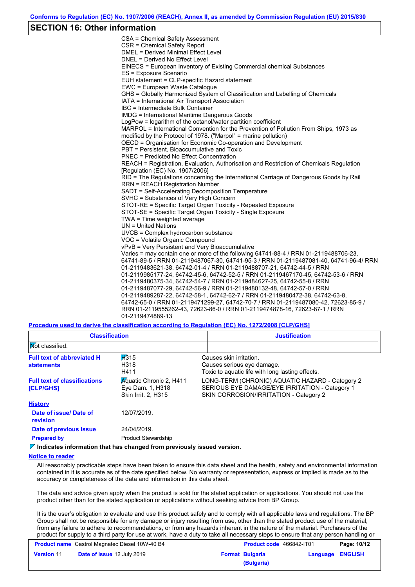#### **SECTION 16: Other information**

CSA = Chemical Safety Assessment CSR = Chemical Safety Report DMEL = Derived Minimal Effect Level DNEL = Derived No Effect Level EINECS = European Inventory of Existing Commercial chemical Substances ES = Exposure Scenario EUH statement = CLP-specific Hazard statement EWC = European Waste Catalogue GHS = Globally Harmonized System of Classification and Labelling of Chemicals IATA = International Air Transport Association IBC = Intermediate Bulk Container IMDG = International Maritime Dangerous Goods LogPow = logarithm of the octanol/water partition coefficient MARPOL = International Convention for the Prevention of Pollution From Ships, 1973 as modified by the Protocol of 1978. ("Marpol" = marine pollution) OECD = Organisation for Economic Co-operation and Development PBT = Persistent, Bioaccumulative and Toxic PNEC = Predicted No Effect Concentration REACH = Registration, Evaluation, Authorisation and Restriction of Chemicals Regulation [Regulation (EC) No. 1907/2006] RID = The Regulations concerning the International Carriage of Dangerous Goods by Rail RRN = REACH Registration Number SADT = Self-Accelerating Decomposition Temperature SVHC = Substances of Very High Concern STOT-RE = Specific Target Organ Toxicity - Repeated Exposure STOT-SE = Specific Target Organ Toxicity - Single Exposure TWA = Time weighted average UN = United Nations UVCB = Complex hydrocarbon substance VOC = Volatile Organic Compound vPvB = Very Persistent and Very Bioaccumulative Varies = may contain one or more of the following 64741-88-4 / RRN 01-2119488706-23, 64741-89-5 / RRN 01-2119487067-30, 64741-95-3 / RRN 01-2119487081-40, 64741-96-4/ RRN 01-2119483621-38, 64742-01-4 / RRN 01-2119488707-21, 64742-44-5 / RRN 01-2119985177-24, 64742-45-6, 64742-52-5 / RRN 01-2119467170-45, 64742-53-6 / RRN 01-2119480375-34, 64742-54-7 / RRN 01-2119484627-25, 64742-55-8 / RRN 01-2119487077-29, 64742-56-9 / RRN 01-2119480132-48, 64742-57-0 / RRN 01-2119489287-22, 64742-58-1, 64742-62-7 / RRN 01-2119480472-38, 64742-63-8, 64742-65-0 / RRN 01-2119471299-27, 64742-70-7 / RRN 01-2119487080-42, 72623-85-9 / RRN 01-2119555262-43, 72623-86-0 / RRN 01-2119474878-16, 72623-87-1 / RRN 01-2119474889-13

**Procedure used to derive the classification according to Regulation (EC) No. 1272/2008 [CLP/GHS]**

| <b>Classification</b>                                   |                                                                           | <b>Justification</b>                                                                                                                        |
|---------------------------------------------------------|---------------------------------------------------------------------------|---------------------------------------------------------------------------------------------------------------------------------------------|
| <b>Not classified.</b>                                  |                                                                           |                                                                                                                                             |
| <b>Full text of abbreviated H</b><br><b>statements</b>  | H315<br>H318<br>H411                                                      | Causes skin irritation.<br>Causes serious eye damage.<br>Toxic to aguatic life with long lasting effects.                                   |
| <b>Full text of classifications</b><br><b>[CLP/GHS]</b> | <b>Aquatic Chronic 2, H411</b><br>Eye Dam. 1, H318<br>Skin Irrit. 2, H315 | LONG-TERM (CHRONIC) AQUATIC HAZARD - Category 2<br>SERIOUS EYE DAMAGE/EYE IRRITATION - Category 1<br>SKIN CORROSION/IRRITATION - Category 2 |
| <b>History</b>                                          |                                                                           |                                                                                                                                             |
| Date of issue/Date of<br>revision                       | 12/07/2019.                                                               |                                                                                                                                             |
| Date of previous issue                                  | 24/04/2019.                                                               |                                                                                                                                             |
| <b>Prepared by</b>                                      | <b>Product Stewardship</b>                                                |                                                                                                                                             |

**Indicates information that has changed from previously issued version.**

#### **Notice to reader**

All reasonably practicable steps have been taken to ensure this data sheet and the health, safety and environmental information contained in it is accurate as of the date specified below. No warranty or representation, express or implied is made as to the accuracy or completeness of the data and information in this data sheet.

The data and advice given apply when the product is sold for the stated application or applications. You should not use the product other than for the stated application or applications without seeking advice from BP Group.

It is the user's obligation to evaluate and use this product safely and to comply with all applicable laws and regulations. The BP Group shall not be responsible for any damage or injury resulting from use, other than the stated product use of the material, from any failure to adhere to recommendations, or from any hazards inherent in the nature of the material. Purchasers of the product for supply to a third party for use at work, have a duty to take all necessary steps to ensure that any person handling or

|                   | <b>Product name</b> Castrol Magnatec Diesel 10W-40 B4 | <b>Product code</b> 466842-IT01 |                  | Page: 10/12 |
|-------------------|-------------------------------------------------------|---------------------------------|------------------|-------------|
| <b>Version 11</b> | <b>Date of issue 12 July 2019</b>                     | <b>Format Bulgaria</b>          | Language ENGLISH |             |
|                   |                                                       | (Bulgaria)                      |                  |             |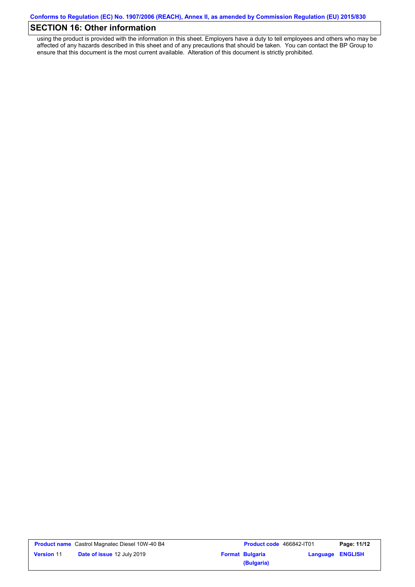# **SECTION 16: Other information**

using the product is provided with the information in this sheet. Employers have a duty to tell employees and others who may be affected of any hazards described in this sheet and of any precautions that should be taken. You can contact the BP Group to ensure that this document is the most current available. Alteration of this document is strictly prohibited.

|                   | <b>Product name</b> Castrol Magnatec Diesel 10W-40 B4 |
|-------------------|-------------------------------------------------------|
| <b>Version 11</b> | Date of issue 12 July 2019                            |